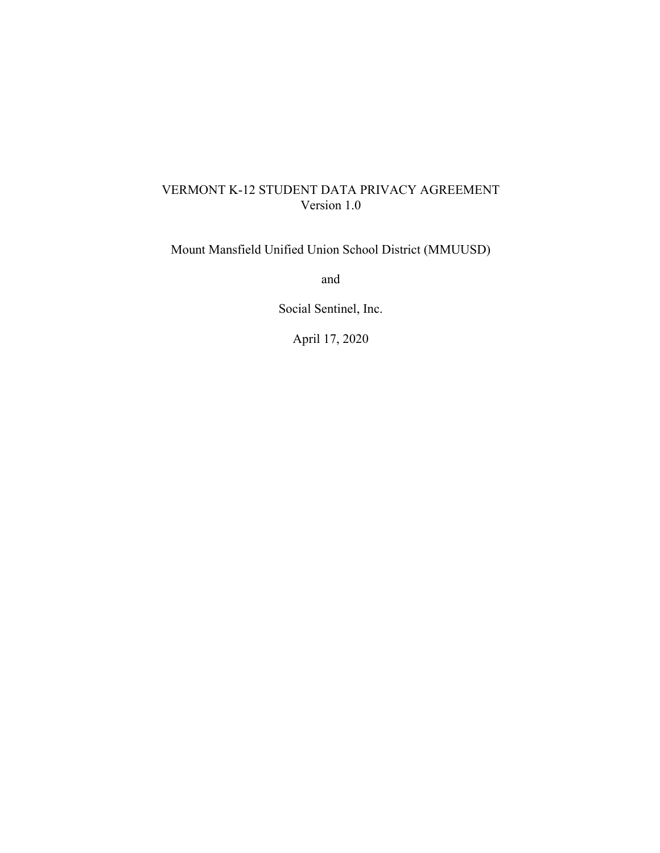## VERMONT K-12 STUDENT DATA PRIVACY AGREEMENT Version 1.0

Mount Mansfield Unified Union School District (MMUUSD)

and

Social Sentinel, Inc.

April 17, 2020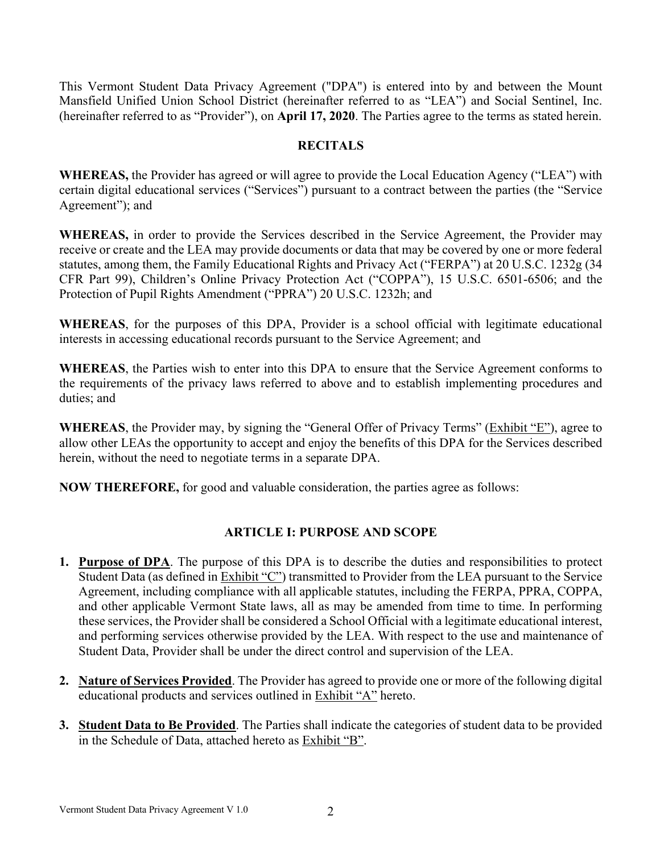This Vermont Student Data Privacy Agreement ("DPA") is entered into by and between the Mount Mansfield Unified Union School District (hereinafter referred to as "LEA") and Social Sentinel, Inc. (hereinafter referred to as "Provider"), on **April 17, 2020**. The Parties agree to the terms as stated herein.

#### **RECITALS**

**WHEREAS,** the Provider has agreed or will agree to provide the Local Education Agency ("LEA") with certain digital educational services ("Services") pursuant to a contract between the parties (the "Service Agreement"); and

**WHEREAS,** in order to provide the Services described in the Service Agreement, the Provider may receive or create and the LEA may provide documents or data that may be covered by one or more federal statutes, among them, the Family Educational Rights and Privacy Act ("FERPA") at 20 U.S.C. 1232g (34 CFR Part 99), Children's Online Privacy Protection Act ("COPPA"), 15 U.S.C. 6501-6506; and the Protection of Pupil Rights Amendment ("PPRA") 20 U.S.C. 1232h; and

**WHEREAS**, for the purposes of this DPA, Provider is a school official with legitimate educational interests in accessing educational records pursuant to the Service Agreement; and

**WHEREAS**, the Parties wish to enter into this DPA to ensure that the Service Agreement conforms to the requirements of the privacy laws referred to above and to establish implementing procedures and duties; and

**WHEREAS**, the Provider may, by signing the "General Offer of Privacy Terms" (Exhibit "E"), agree to allow other LEAs the opportunity to accept and enjoy the benefits of this DPA for the Services described herein, without the need to negotiate terms in a separate DPA.

**NOW THEREFORE,** for good and valuable consideration, the parties agree as follows:

## **ARTICLE I: PURPOSE AND SCOPE**

- **1. Purpose of DPA**. The purpose of this DPA is to describe the duties and responsibilities to protect Student Data (as defined in Exhibit "C") transmitted to Provider from the LEA pursuant to the Service Agreement, including compliance with all applicable statutes, including the FERPA, PPRA, COPPA, and other applicable Vermont State laws, all as may be amended from time to time. In performing these services, the Provider shall be considered a School Official with a legitimate educational interest, and performing services otherwise provided by the LEA. With respect to the use and maintenance of Student Data, Provider shall be under the direct control and supervision of the LEA.
- **2. Nature of Services Provided**. The Provider has agreed to provide one or more of the following digital educational products and services outlined in Exhibit "A" hereto.
- **3. Student Data to Be Provided**. The Parties shall indicate the categories of student data to be provided in the Schedule of Data, attached hereto as Exhibit "B".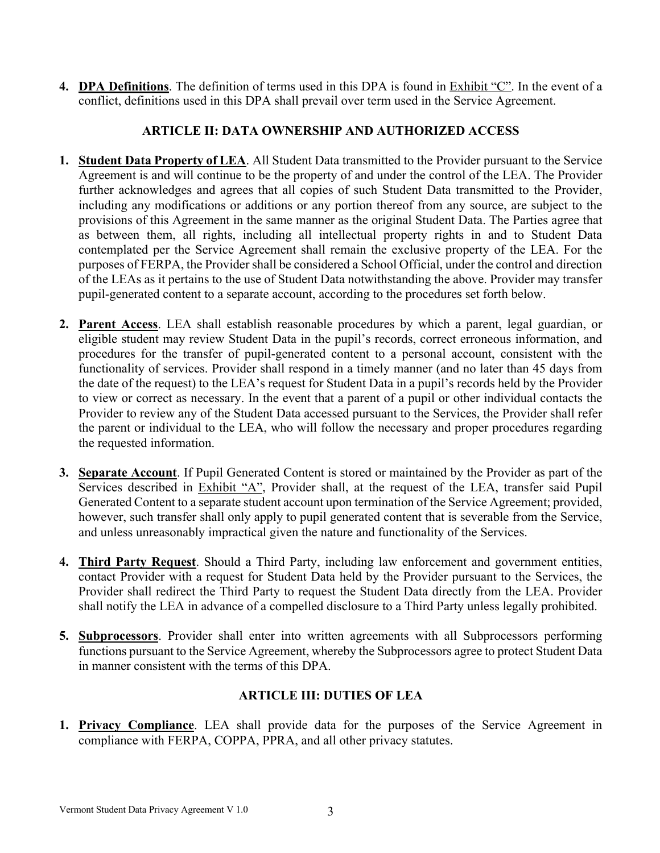**4. DPA Definitions**. The definition of terms used in this DPA is found in Exhibit "C". In the event of a conflict, definitions used in this DPA shall prevail over term used in the Service Agreement.

## **ARTICLE II: DATA OWNERSHIP AND AUTHORIZED ACCESS**

- **1. Student Data Property of LEA**. All Student Data transmitted to the Provider pursuant to the Service Agreement is and will continue to be the property of and under the control of the LEA. The Provider further acknowledges and agrees that all copies of such Student Data transmitted to the Provider, including any modifications or additions or any portion thereof from any source, are subject to the provisions of this Agreement in the same manner as the original Student Data. The Parties agree that as between them, all rights, including all intellectual property rights in and to Student Data contemplated per the Service Agreement shall remain the exclusive property of the LEA. For the purposes of FERPA, the Provider shall be considered a School Official, under the control and direction of the LEAs as it pertains to the use of Student Data notwithstanding the above. Provider may transfer pupil-generated content to a separate account, according to the procedures set forth below.
- **2. Parent Access**. LEA shall establish reasonable procedures by which a parent, legal guardian, or eligible student may review Student Data in the pupil's records, correct erroneous information, and procedures for the transfer of pupil-generated content to a personal account, consistent with the functionality of services. Provider shall respond in a timely manner (and no later than 45 days from the date of the request) to the LEA's request for Student Data in a pupil's records held by the Provider to view or correct as necessary. In the event that a parent of a pupil or other individual contacts the Provider to review any of the Student Data accessed pursuant to the Services, the Provider shall refer the parent or individual to the LEA, who will follow the necessary and proper procedures regarding the requested information.
- **3. Separate Account**. If Pupil Generated Content is stored or maintained by the Provider as part of the Services described in Exhibit "A", Provider shall, at the request of the LEA, transfer said Pupil Generated Content to a separate student account upon termination of the Service Agreement; provided, however, such transfer shall only apply to pupil generated content that is severable from the Service, and unless unreasonably impractical given the nature and functionality of the Services.
- **4. Third Party Request**. Should a Third Party, including law enforcement and government entities, contact Provider with a request for Student Data held by the Provider pursuant to the Services, the Provider shall redirect the Third Party to request the Student Data directly from the LEA. Provider shall notify the LEA in advance of a compelled disclosure to a Third Party unless legally prohibited.
- **5. Subprocessors**. Provider shall enter into written agreements with all Subprocessors performing functions pursuant to the Service Agreement, whereby the Subprocessors agree to protect Student Data in manner consistent with the terms of this DPA.

## **ARTICLE III: DUTIES OF LEA**

**1. Privacy Compliance**. LEA shall provide data for the purposes of the Service Agreement in compliance with FERPA, COPPA, PPRA, and all other privacy statutes.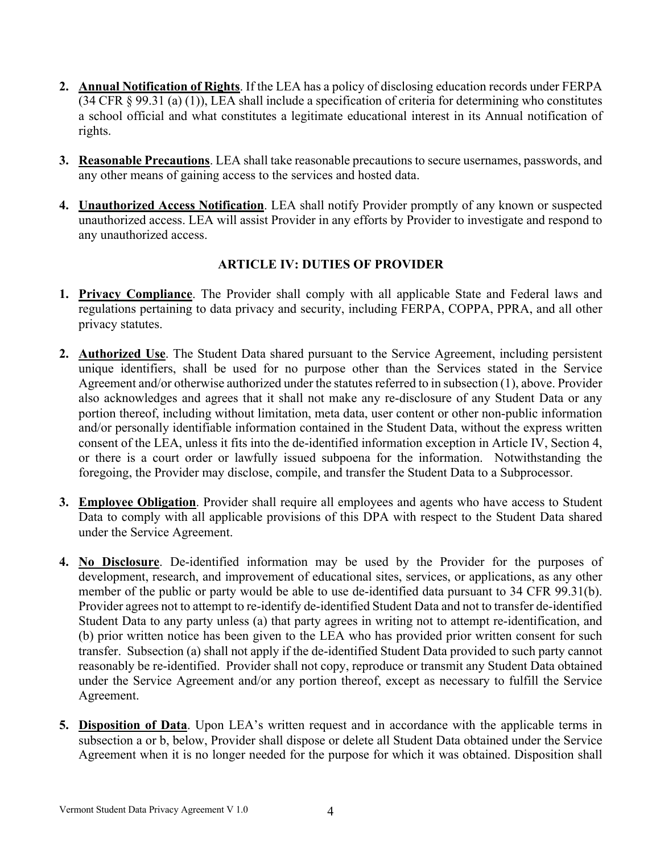- **2. Annual Notification of Rights**. If the LEA has a policy of disclosing education records under FERPA (34 CFR § 99.31 (a) (1)), LEA shall include a specification of criteria for determining who constitutes a school official and what constitutes a legitimate educational interest in its Annual notification of rights.
- **3. Reasonable Precautions**. LEA shall take reasonable precautions to secure usernames, passwords, and any other means of gaining access to the services and hosted data.
- **4. Unauthorized Access Notification**. LEA shall notify Provider promptly of any known or suspected unauthorized access. LEA will assist Provider in any efforts by Provider to investigate and respond to any unauthorized access.

## **ARTICLE IV: DUTIES OF PROVIDER**

- **1. Privacy Compliance**. The Provider shall comply with all applicable State and Federal laws and regulations pertaining to data privacy and security, including FERPA, COPPA, PPRA, and all other privacy statutes.
- **2. Authorized Use**. The Student Data shared pursuant to the Service Agreement, including persistent unique identifiers, shall be used for no purpose other than the Services stated in the Service Agreement and/or otherwise authorized under the statutes referred to in subsection (1), above. Provider also acknowledges and agrees that it shall not make any re-disclosure of any Student Data or any portion thereof, including without limitation, meta data, user content or other non-public information and/or personally identifiable information contained in the Student Data, without the express written consent of the LEA, unless it fits into the de-identified information exception in Article IV, Section 4, or there is a court order or lawfully issued subpoena for the information. Notwithstanding the foregoing, the Provider may disclose, compile, and transfer the Student Data to a Subprocessor.
- **3. Employee Obligation**. Provider shall require all employees and agents who have access to Student Data to comply with all applicable provisions of this DPA with respect to the Student Data shared under the Service Agreement.
- **4. No Disclosure**. De-identified information may be used by the Provider for the purposes of development, research, and improvement of educational sites, services, or applications, as any other member of the public or party would be able to use de-identified data pursuant to 34 CFR 99.31(b). Provider agrees not to attempt to re-identify de-identified Student Data and not to transfer de-identified Student Data to any party unless (a) that party agrees in writing not to attempt re-identification, and (b) prior written notice has been given to the LEA who has provided prior written consent for such transfer. Subsection (a) shall not apply if the de-identified Student Data provided to such party cannot reasonably be re-identified. Provider shall not copy, reproduce or transmit any Student Data obtained under the Service Agreement and/or any portion thereof, except as necessary to fulfill the Service Agreement.
- **5. Disposition of Data**. Upon LEA's written request and in accordance with the applicable terms in subsection a or b, below, Provider shall dispose or delete all Student Data obtained under the Service Agreement when it is no longer needed for the purpose for which it was obtained. Disposition shall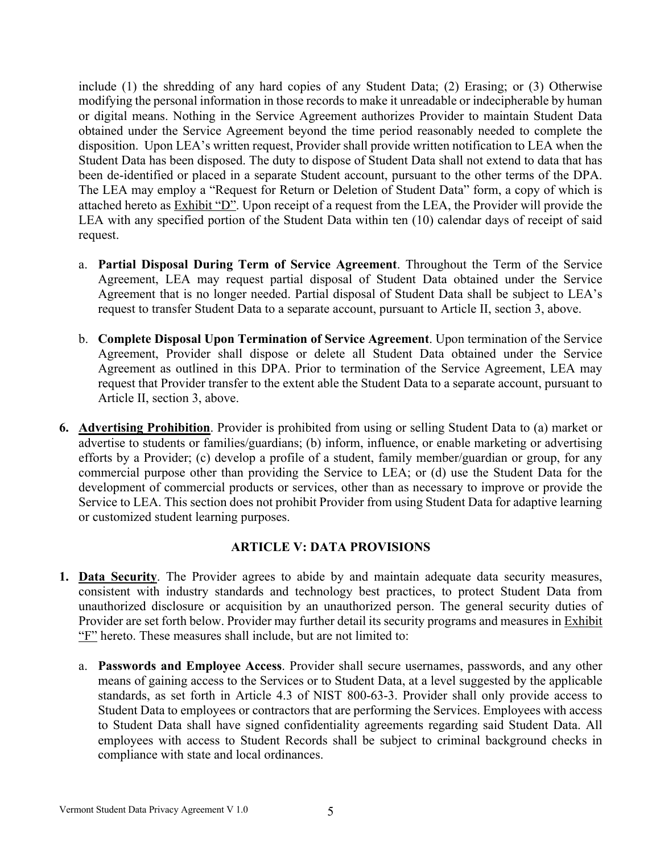include (1) the shredding of any hard copies of any Student Data; (2) Erasing; or (3) Otherwise modifying the personal information in those records to make it unreadable or indecipherable by human or digital means. Nothing in the Service Agreement authorizes Provider to maintain Student Data obtained under the Service Agreement beyond the time period reasonably needed to complete the disposition. Upon LEA's written request, Provider shall provide written notification to LEA when the Student Data has been disposed. The duty to dispose of Student Data shall not extend to data that has been de-identified or placed in a separate Student account, pursuant to the other terms of the DPA. The LEA may employ a "Request for Return or Deletion of Student Data" form, a copy of which is attached hereto as Exhibit "D". Upon receipt of a request from the LEA, the Provider will provide the LEA with any specified portion of the Student Data within ten (10) calendar days of receipt of said request.

- a. **Partial Disposal During Term of Service Agreement**. Throughout the Term of the Service Agreement, LEA may request partial disposal of Student Data obtained under the Service Agreement that is no longer needed. Partial disposal of Student Data shall be subject to LEA's request to transfer Student Data to a separate account, pursuant to Article II, section 3, above.
- b. **Complete Disposal Upon Termination of Service Agreement**. Upon termination of the Service Agreement, Provider shall dispose or delete all Student Data obtained under the Service Agreement as outlined in this DPA. Prior to termination of the Service Agreement, LEA may request that Provider transfer to the extent able the Student Data to a separate account, pursuant to Article II, section 3, above.
- **6. Advertising Prohibition**. Provider is prohibited from using or selling Student Data to (a) market or advertise to students or families/guardians; (b) inform, influence, or enable marketing or advertising efforts by a Provider; (c) develop a profile of a student, family member/guardian or group, for any commercial purpose other than providing the Service to LEA; or (d) use the Student Data for the development of commercial products or services, other than as necessary to improve or provide the Service to LEA. This section does not prohibit Provider from using Student Data for adaptive learning or customized student learning purposes.

#### **ARTICLE V: DATA PROVISIONS**

- **1. Data Security**. The Provider agrees to abide by and maintain adequate data security measures, consistent with industry standards and technology best practices, to protect Student Data from unauthorized disclosure or acquisition by an unauthorized person. The general security duties of Provider are set forth below. Provider may further detail its security programs and measures in Exhibit "F" hereto. These measures shall include, but are not limited to:
	- a. **Passwords and Employee Access**. Provider shall secure usernames, passwords, and any other means of gaining access to the Services or to Student Data, at a level suggested by the applicable standards, as set forth in Article 4.3 of NIST 800-63-3. Provider shall only provide access to Student Data to employees or contractors that are performing the Services. Employees with access to Student Data shall have signed confidentiality agreements regarding said Student Data. All employees with access to Student Records shall be subject to criminal background checks in compliance with state and local ordinances.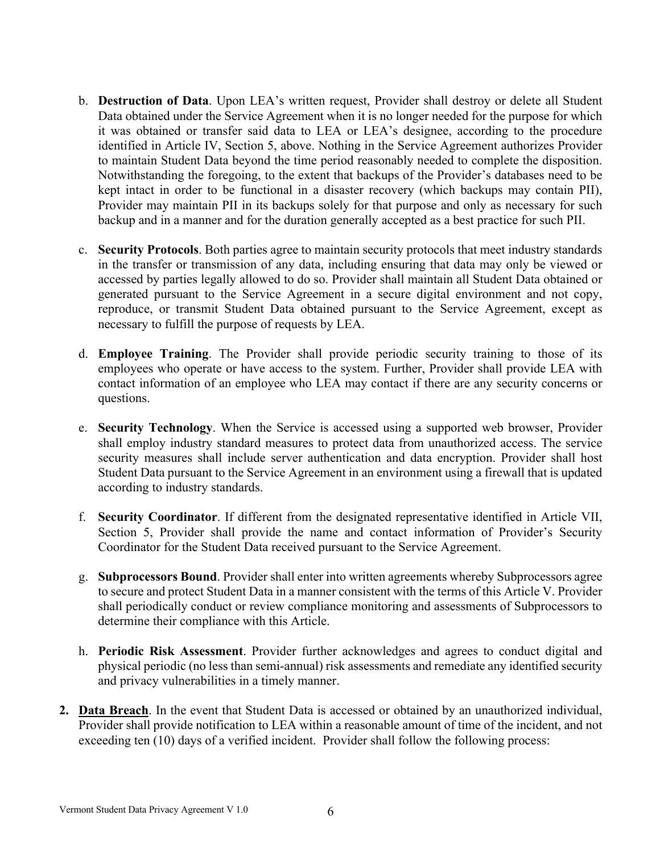- b. **Destruction of Data**. Upon LEA's written request, Provider shall destroy or delete all Student Data obtained under the Service Agreement when it is no longer needed for the purpose for which it was obtained or transfer said data to LEA or LEA's designee, according to the procedure identified in Article IV, Section 5, above. Nothing in the Service Agreement authorizes Provider to maintain Student Data beyond the time period reasonably needed to complete the disposition. Notwithstanding the foregoing, to the extent that backups of the Provider's databases need to be kept intact in order to be functional in a disaster recovery (which backups may contain PII), Provider may maintain PII in its backups solely for that purpose and only as necessary for such backup and in a manner and for the duration generally accepted as a best practice for such PII.
- c. **Security Protocols**. Both parties agree to maintain security protocols that meet industry standards in the transfer or transmission of any data, including ensuring that data may only be viewed or accessed by parties legally allowed to do so. Provider shall maintain all Student Data obtained or generated pursuant to the Service Agreement in a secure digital environment and not copy, reproduce, or transmit Student Data obtained pursuant to the Service Agreement, except as necessary to fulfill the purpose of requests by LEA.
- d. **Employee Training**. The Provider shall provide periodic security training to those of its employees who operate or have access to the system. Further, Provider shall provide LEA with contact information of an employee who LEA may contact if there are any security concerns or questions.
- e. **Security Technology**. When the Service is accessed using a supported web browser, Provider shall employ industry standard measures to protect data from unauthorized access. The service security measures shall include server authentication and data encryption. Provider shall host Student Data pursuant to the Service Agreement in an environment using a firewall that is updated according to industry standards.
- f. **Security Coordinator**. If different from the designated representative identified in Article VII, Section 5, Provider shall provide the name and contact information of Provider's Security Coordinator for the Student Data received pursuant to the Service Agreement.
- g. **Subprocessors Bound**. Provider shall enter into written agreements whereby Subprocessors agree to secure and protect Student Data in a manner consistent with the terms of this Article V. Provider shall periodically conduct or review compliance monitoring and assessments of Subprocessors to determine their compliance with this Article.
- h. **Periodic Risk Assessment**. Provider further acknowledges and agrees to conduct digital and physical periodic (no less than semi-annual) risk assessments and remediate any identified security and privacy vulnerabilities in a timely manner.
- **2. Data Breach**. In the event that Student Data is accessed or obtained by an unauthorized individual, Provider shall provide notification to LEA within a reasonable amount of time of the incident, and not exceeding ten (10) days of a verified incident. Provider shall follow the following process: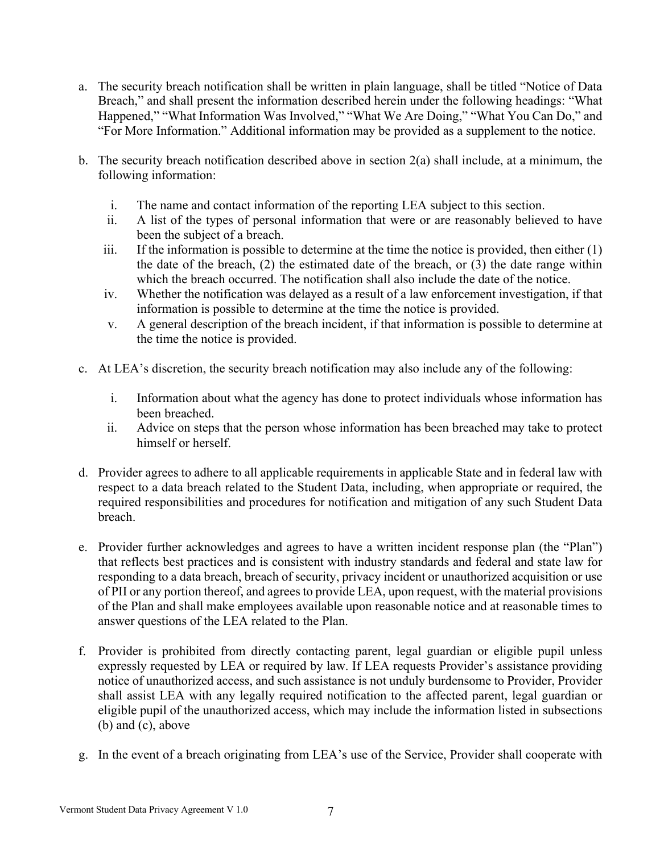- a. The security breach notification shall be written in plain language, shall be titled "Notice of Data Breach," and shall present the information described herein under the following headings: "What Happened," "What Information Was Involved," "What We Are Doing," "What You Can Do," and "For More Information." Additional information may be provided as a supplement to the notice.
- b. The security breach notification described above in section 2(a) shall include, at a minimum, the following information:
	- i. The name and contact information of the reporting LEA subject to this section.
	- ii. A list of the types of personal information that were or are reasonably believed to have been the subject of a breach.
	- iii. If the information is possible to determine at the time the notice is provided, then either  $(1)$ the date of the breach, (2) the estimated date of the breach, or (3) the date range within which the breach occurred. The notification shall also include the date of the notice.
	- iv. Whether the notification was delayed as a result of a law enforcement investigation, if that information is possible to determine at the time the notice is provided.
	- v. A general description of the breach incident, if that information is possible to determine at the time the notice is provided.
- c. At LEA's discretion, the security breach notification may also include any of the following:
	- i. Information about what the agency has done to protect individuals whose information has been breached.
	- ii. Advice on steps that the person whose information has been breached may take to protect himself or herself.
- d. Provider agrees to adhere to all applicable requirements in applicable State and in federal law with respect to a data breach related to the Student Data, including, when appropriate or required, the required responsibilities and procedures for notification and mitigation of any such Student Data breach.
- e. Provider further acknowledges and agrees to have a written incident response plan (the "Plan") that reflects best practices and is consistent with industry standards and federal and state law for responding to a data breach, breach of security, privacy incident or unauthorized acquisition or use of PII or any portion thereof, and agrees to provide LEA, upon request, with the material provisions of the Plan and shall make employees available upon reasonable notice and at reasonable times to answer questions of the LEA related to the Plan.
- f. Provider is prohibited from directly contacting parent, legal guardian or eligible pupil unless expressly requested by LEA or required by law. If LEA requests Provider's assistance providing notice of unauthorized access, and such assistance is not unduly burdensome to Provider, Provider shall assist LEA with any legally required notification to the affected parent, legal guardian or eligible pupil of the unauthorized access, which may include the information listed in subsections (b) and (c), above
- g. In the event of a breach originating from LEA's use of the Service, Provider shall cooperate with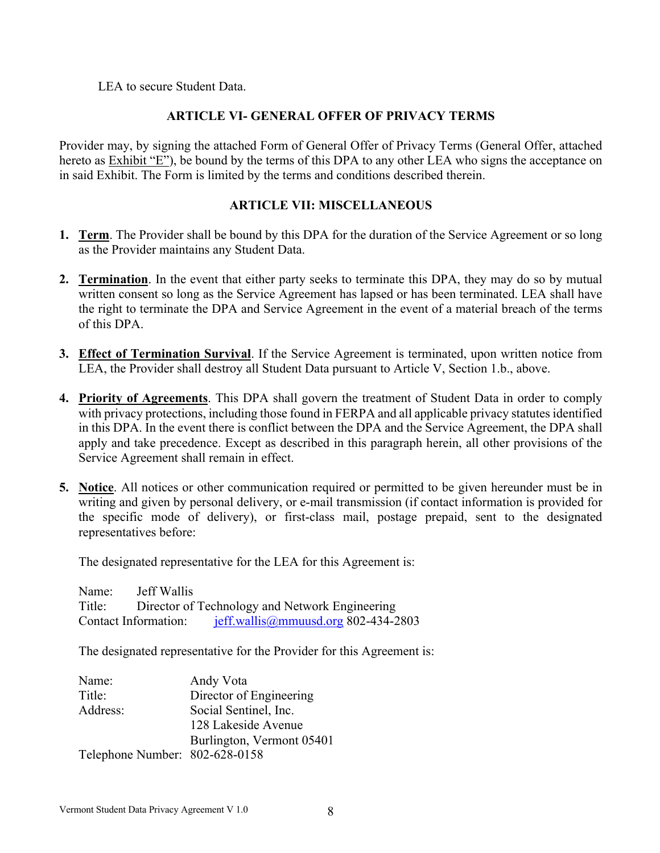LEA to secure Student Data.

## **ARTICLE VI- GENERAL OFFER OF PRIVACY TERMS**

Provider may, by signing the attached Form of General Offer of Privacy Terms (General Offer, attached hereto as Exhibit "E"), be bound by the terms of this DPA to any other LEA who signs the acceptance on in said Exhibit. The Form is limited by the terms and conditions described therein.

## **ARTICLE VII: MISCELLANEOUS**

- **1. Term**. The Provider shall be bound by this DPA for the duration of the Service Agreement or so long as the Provider maintains any Student Data.
- **2. Termination**. In the event that either party seeks to terminate this DPA, they may do so by mutual written consent so long as the Service Agreement has lapsed or has been terminated. LEA shall have the right to terminate the DPA and Service Agreement in the event of a material breach of the terms of this DPA.
- **3. Effect of Termination Survival**. If the Service Agreement is terminated, upon written notice from LEA, the Provider shall destroy all Student Data pursuant to Article V, Section 1.b., above.
- **4. Priority of Agreements**. This DPA shall govern the treatment of Student Data in order to comply with privacy protections, including those found in FERPA and all applicable privacy statutes identified in this DPA. In the event there is conflict between the DPA and the Service Agreement, the DPA shall apply and take precedence. Except as described in this paragraph herein, all other provisions of the Service Agreement shall remain in effect.
- **5. Notice**. All notices or other communication required or permitted to be given hereunder must be in writing and given by personal delivery, or e-mail transmission (if contact information is provided for the specific mode of delivery), or first-class mail, postage prepaid, sent to the designated representatives before:

The designated representative for the LEA for this Agreement is:

Name: Jeff Wallis Title: Director of Technology and Network Engineering Contact Information: jeff.wallis@mmuusd.org 802-434-2803

The designated representative for the Provider for this Agreement is:

| Name:                          | Andy Vota                 |
|--------------------------------|---------------------------|
| Title:                         | Director of Engineering   |
| Address:                       | Social Sentinel, Inc.     |
|                                | 128 Lakeside Avenue       |
|                                | Burlington, Vermont 05401 |
| Telephone Number: 802-628-0158 |                           |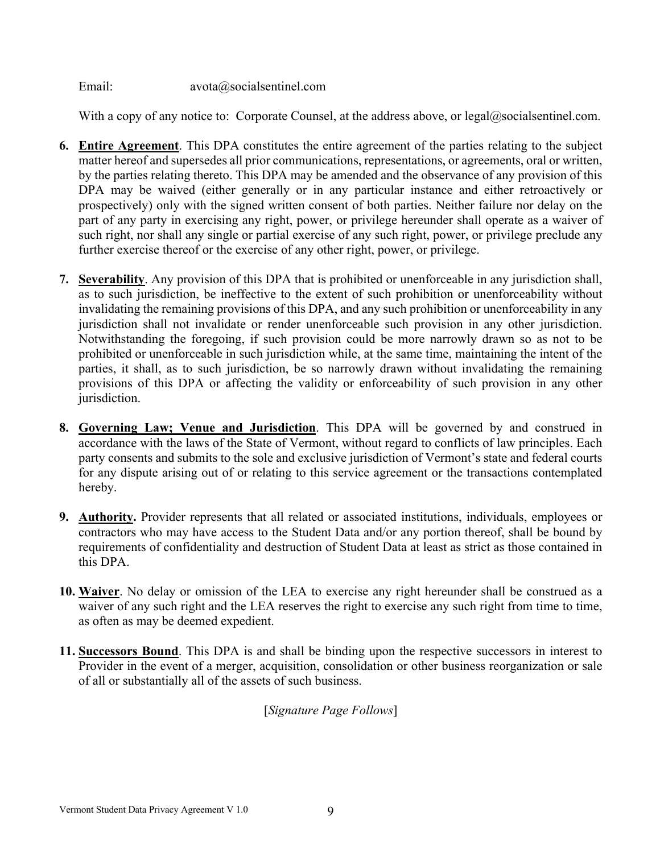Email: avota@socialsentinel.com

With a copy of any notice to: Corporate Counsel, at the address above, or  $\text{legal@socialsentinel.com}$ .

- **6. Entire Agreement**. This DPA constitutes the entire agreement of the parties relating to the subject matter hereof and supersedes all prior communications, representations, or agreements, oral or written, by the parties relating thereto. This DPA may be amended and the observance of any provision of this DPA may be waived (either generally or in any particular instance and either retroactively or prospectively) only with the signed written consent of both parties. Neither failure nor delay on the part of any party in exercising any right, power, or privilege hereunder shall operate as a waiver of such right, nor shall any single or partial exercise of any such right, power, or privilege preclude any further exercise thereof or the exercise of any other right, power, or privilege.
- **7. Severability**. Any provision of this DPA that is prohibited or unenforceable in any jurisdiction shall, as to such jurisdiction, be ineffective to the extent of such prohibition or unenforceability without invalidating the remaining provisions of this DPA, and any such prohibition or unenforceability in any jurisdiction shall not invalidate or render unenforceable such provision in any other jurisdiction. Notwithstanding the foregoing, if such provision could be more narrowly drawn so as not to be prohibited or unenforceable in such jurisdiction while, at the same time, maintaining the intent of the parties, it shall, as to such jurisdiction, be so narrowly drawn without invalidating the remaining provisions of this DPA or affecting the validity or enforceability of such provision in any other jurisdiction.
- **8. Governing Law; Venue and Jurisdiction**. This DPA will be governed by and construed in accordance with the laws of the State of Vermont, without regard to conflicts of law principles. Each party consents and submits to the sole and exclusive jurisdiction of Vermont's state and federal courts for any dispute arising out of or relating to this service agreement or the transactions contemplated hereby.
- **9. Authority.** Provider represents that all related or associated institutions, individuals, employees or contractors who may have access to the Student Data and/or any portion thereof, shall be bound by requirements of confidentiality and destruction of Student Data at least as strict as those contained in this DPA.
- **10. Waiver**. No delay or omission of the LEA to exercise any right hereunder shall be construed as a waiver of any such right and the LEA reserves the right to exercise any such right from time to time, as often as may be deemed expedient.
- **11. Successors Bound**. This DPA is and shall be binding upon the respective successors in interest to Provider in the event of a merger, acquisition, consolidation or other business reorganization or sale of all or substantially all of the assets of such business.

[*Signature Page Follows*]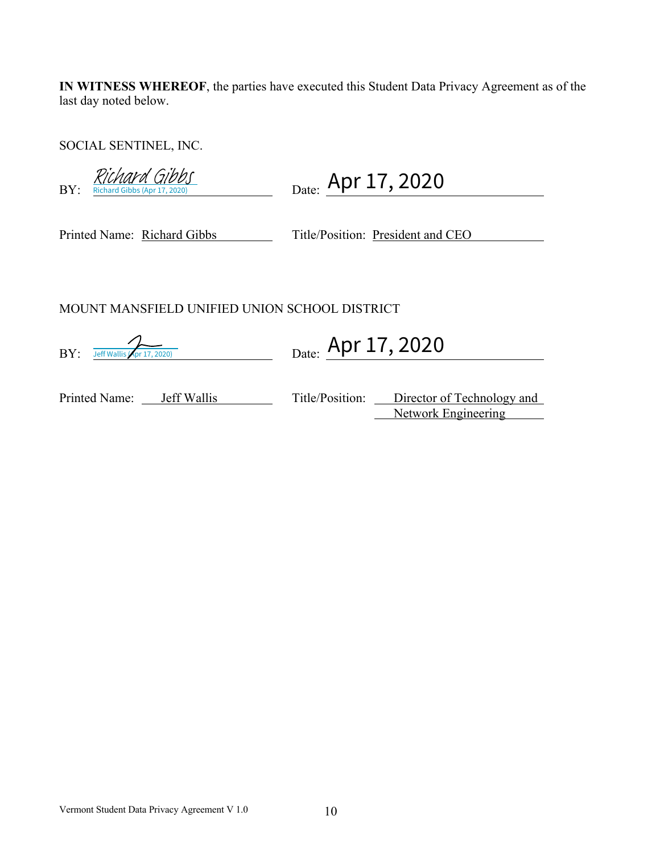**IN WITNESS WHEREOF**, the parties have executed this Student Data Privacy Agreement as of the last day noted below.

SOCIAL SENTINEL, INC.

| BY:<br>Richard Gibbs (Apr 17, 2020)           | Date: Apr 17, 2020                                                       |  |  |  |
|-----------------------------------------------|--------------------------------------------------------------------------|--|--|--|
| Printed Name: Richard Gibbs                   | Title/Position: President and CEO                                        |  |  |  |
| MOUNT MANSFIELD UNIFIED UNION SCHOOL DISTRICT |                                                                          |  |  |  |
| BY:<br>Jeff Wallis (Apr 17, 2020)             | Date: Apr 17, 2020                                                       |  |  |  |
| Printed Name:<br>Jeff Wallis                  | Title/Position: Director of Technology and<br><b>Network Engineering</b> |  |  |  |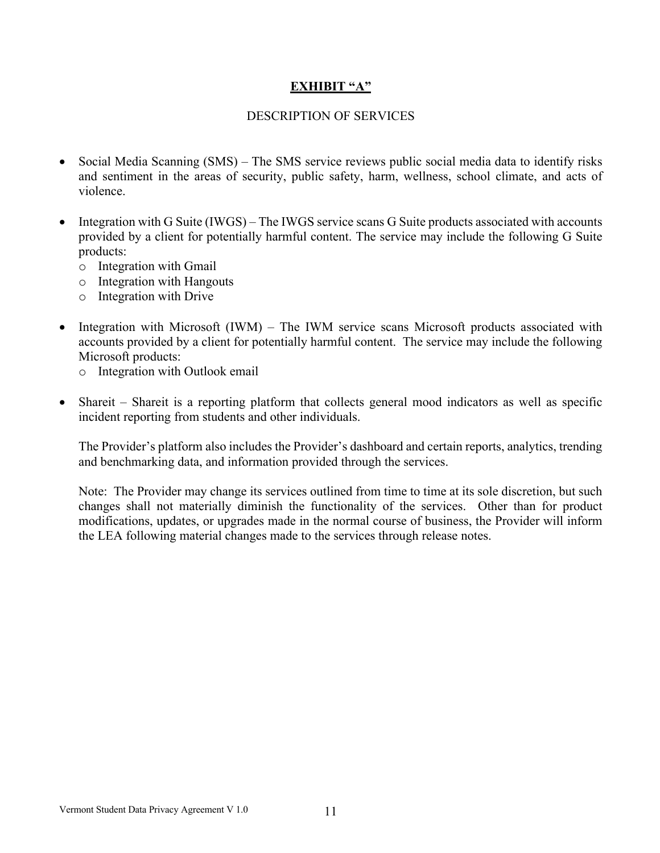## **EXHIBIT "A"**

#### DESCRIPTION OF SERVICES

- Social Media Scanning (SMS) The SMS service reviews public social media data to identify risks and sentiment in the areas of security, public safety, harm, wellness, school climate, and acts of violence.
- Integration with G Suite (IWGS) The IWGS service scans G Suite products associated with accounts provided by a client for potentially harmful content. The service may include the following G Suite products:
	- o Integration with Gmail
	- o Integration with Hangouts
	- o Integration with Drive
- Integration with Microsoft (IWM) The IWM service scans Microsoft products associated with accounts provided by a client for potentially harmful content. The service may include the following Microsoft products:
	- o Integration with Outlook email
- Shareit Shareit is a reporting platform that collects general mood indicators as well as specific incident reporting from students and other individuals.

The Provider's platform also includes the Provider's dashboard and certain reports, analytics, trending and benchmarking data, and information provided through the services.

Note: The Provider may change its services outlined from time to time at its sole discretion, but such changes shall not materially diminish the functionality of the services. Other than for product modifications, updates, or upgrades made in the normal course of business, the Provider will inform the LEA following material changes made to the services through release notes.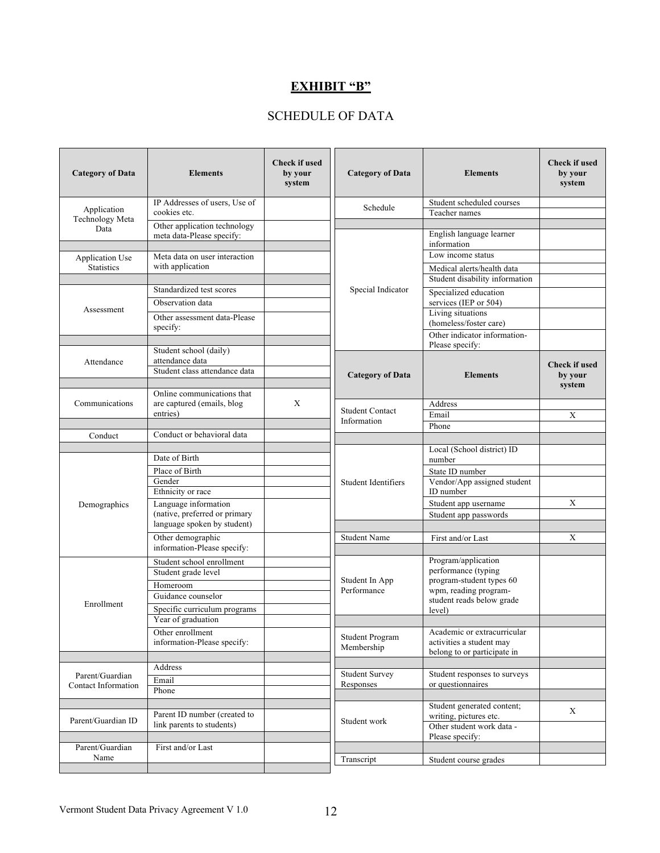# **EXHIBIT "B"**

## SCHEDULE OF DATA

| <b>Category of Data</b>                            | <b>Elements</b>                                                                | <b>Check if used</b><br>by your<br>system | <b>Category of Data</b>              | <b>Elements</b>                                                                        | <b>Check if used</b><br>by your<br>system |
|----------------------------------------------------|--------------------------------------------------------------------------------|-------------------------------------------|--------------------------------------|----------------------------------------------------------------------------------------|-------------------------------------------|
| Application                                        | IP Addresses of users, Use of                                                  |                                           | Schedule                             | Student scheduled courses                                                              |                                           |
| Technology Meta                                    | cookies etc.                                                                   |                                           |                                      | Teacher names                                                                          |                                           |
| Data                                               | Other application technology<br>meta data-Please specify:                      |                                           |                                      | English language learner<br>information                                                |                                           |
| Application Use                                    | Meta data on user interaction                                                  |                                           |                                      | Low income status                                                                      |                                           |
| Statistics                                         | with application                                                               |                                           |                                      | Medical alerts/health data<br>Student disability information                           |                                           |
|                                                    | Standardized test scores                                                       |                                           | Special Indicator                    | Specialized education                                                                  |                                           |
| Assessment                                         | Observation data                                                               |                                           |                                      | services (IEP or 504)                                                                  |                                           |
|                                                    | Other assessment data-Please<br>specify:                                       |                                           |                                      | Living situations<br>(homeless/foster care)                                            |                                           |
|                                                    | Student school (daily)                                                         |                                           |                                      | Other indicator information-<br>Please specify:                                        |                                           |
| Attendance                                         | attendance data<br>Student class attendance data<br>Online communications that |                                           | <b>Category of Data</b>              | <b>Elements</b>                                                                        | <b>Check if used</b><br>by your<br>system |
| Communications                                     | are captured (emails, blog                                                     | X                                         |                                      | Address                                                                                |                                           |
|                                                    | entries)                                                                       |                                           | <b>Student Contact</b>               | Email                                                                                  | X                                         |
|                                                    |                                                                                |                                           | Information                          | Phone                                                                                  |                                           |
| Conduct                                            | Conduct or behavioral data                                                     |                                           |                                      |                                                                                        |                                           |
|                                                    | Date of Birth                                                                  |                                           |                                      | Local (School district) ID<br>number                                                   |                                           |
|                                                    | Place of Birth                                                                 |                                           |                                      | State ID number                                                                        |                                           |
|                                                    | Gender<br>Ethnicity or race                                                    |                                           | Student Identifiers                  | Vendor/App assigned student<br>ID number                                               |                                           |
| Demographics                                       | Language information                                                           |                                           |                                      | Student app username                                                                   | X                                         |
|                                                    | (native, preferred or primary<br>language spoken by student)                   |                                           |                                      | Student app passwords                                                                  |                                           |
|                                                    | Other demographic                                                              |                                           | <b>Student Name</b>                  | First and/or Last                                                                      | X                                         |
|                                                    | information-Please specify:                                                    |                                           |                                      |                                                                                        |                                           |
| Student school enrollment<br>Student grade level   |                                                                                |                                           |                                      | Program/application<br>performance (typing                                             |                                           |
|                                                    | Homeroom                                                                       |                                           | Student In App<br>Performance        | program-student types 60                                                               |                                           |
|                                                    | Guidance counselor                                                             |                                           |                                      | wpm, reading program-<br>student reads below grade                                     |                                           |
| Enrollment                                         | Specific curriculum programs<br>Year of graduation                             |                                           |                                      | level)                                                                                 |                                           |
|                                                    | Other enrollment<br>information-Please specify:                                |                                           | <b>Student Program</b><br>Membership | Academic or extracurricular<br>activities a student may<br>belong to or participate in |                                           |
|                                                    | Address                                                                        |                                           |                                      |                                                                                        |                                           |
| Parent/Guardian<br>Contact Information             | Email                                                                          |                                           | <b>Student Survey</b>                | Student responses to surveys                                                           |                                           |
|                                                    | Phone                                                                          |                                           | Responses                            | or questionnaires                                                                      |                                           |
| Parent ID number (created to<br>Parent/Guardian ID |                                                                                |                                           | Student work                         | Student generated content;<br>writing, pictures etc.                                   | X                                         |
|                                                    | link parents to students)                                                      |                                           |                                      | Other student work data -<br>Please specify:                                           |                                           |
| Parent/Guardian<br>Name                            | First and/or Last                                                              |                                           |                                      |                                                                                        |                                           |
|                                                    |                                                                                |                                           | Transcript                           | Student course grades                                                                  |                                           |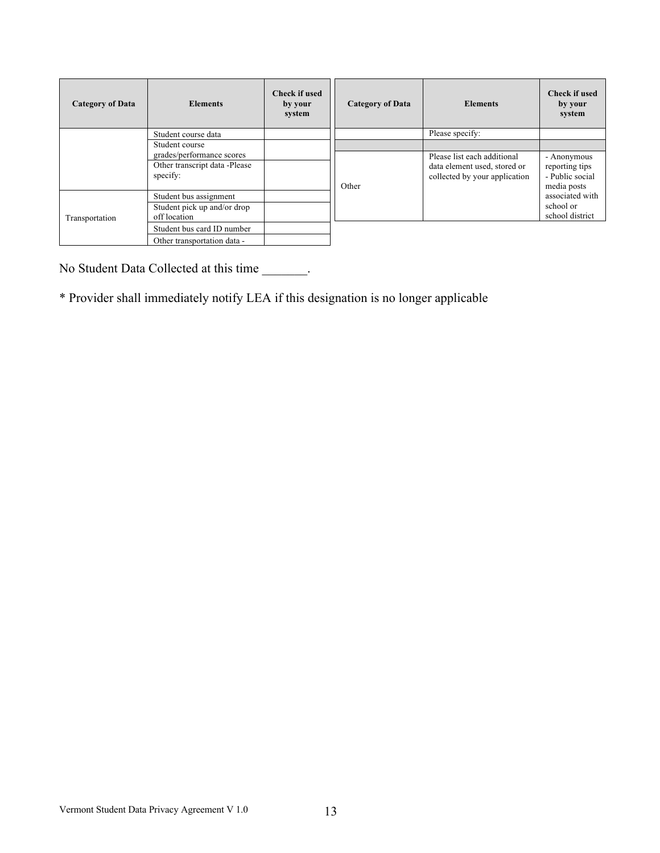| <b>Category of Data</b> | <b>Elements</b>                             | <b>Check if used</b><br>by your<br>system | <b>Category of Data</b> | <b>Elements</b>                                               | <b>Check if used</b><br>by your<br>system        |
|-------------------------|---------------------------------------------|-------------------------------------------|-------------------------|---------------------------------------------------------------|--------------------------------------------------|
|                         | Student course data                         |                                           |                         | Please specify:                                               |                                                  |
|                         | Student course<br>grades/performance scores |                                           |                         | Please list each additional                                   | - Anonymous                                      |
|                         | Other transcript data -Please<br>specify:   |                                           | Other                   | data element used, stored or<br>collected by your application | reporting tips<br>- Public social<br>media posts |
| Transportation          | Student bus assignment                      |                                           |                         |                                                               | associated with                                  |
|                         | Student pick up and/or drop<br>off location |                                           |                         |                                                               | school or<br>school district                     |
|                         | Student bus card ID number                  |                                           |                         |                                                               |                                                  |
|                         | Other transportation data -                 |                                           |                         |                                                               |                                                  |

No Student Data Collected at this time \_\_\_\_\_\_\_.

\* Provider shall immediately notify LEA if this designation is no longer applicable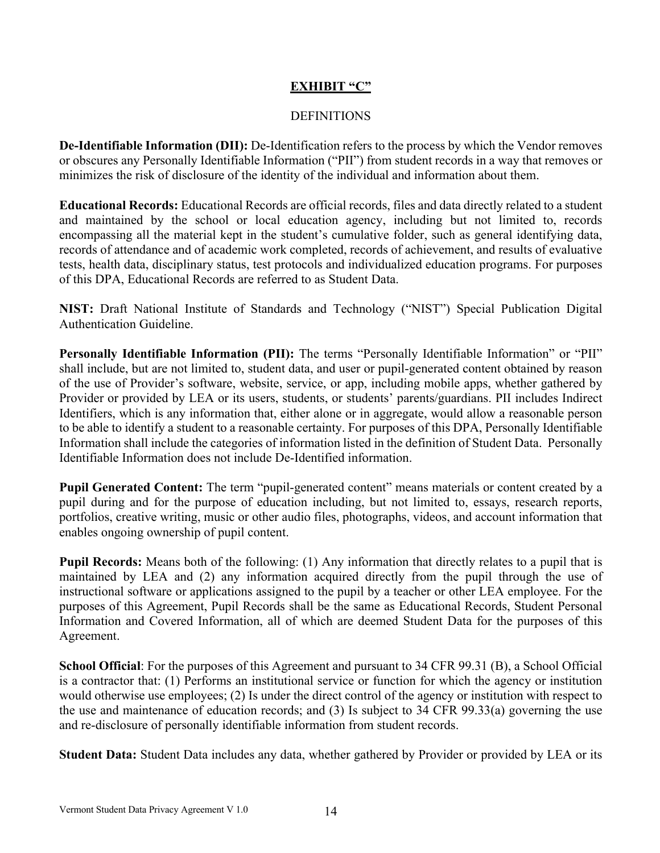## **EXHIBIT "C"**

#### DEFINITIONS

**De-Identifiable Information (DII):** De-Identification refers to the process by which the Vendor removes or obscures any Personally Identifiable Information ("PII") from student records in a way that removes or minimizes the risk of disclosure of the identity of the individual and information about them.

**Educational Records:** Educational Records are official records, files and data directly related to a student and maintained by the school or local education agency, including but not limited to, records encompassing all the material kept in the student's cumulative folder, such as general identifying data, records of attendance and of academic work completed, records of achievement, and results of evaluative tests, health data, disciplinary status, test protocols and individualized education programs. For purposes of this DPA, Educational Records are referred to as Student Data.

**NIST:** Draft National Institute of Standards and Technology ("NIST") Special Publication Digital Authentication Guideline.

**Personally Identifiable Information (PII):** The terms "Personally Identifiable Information" or "PII" shall include, but are not limited to, student data, and user or pupil-generated content obtained by reason of the use of Provider's software, website, service, or app, including mobile apps, whether gathered by Provider or provided by LEA or its users, students, or students' parents/guardians. PII includes Indirect Identifiers, which is any information that, either alone or in aggregate, would allow a reasonable person to be able to identify a student to a reasonable certainty. For purposes of this DPA, Personally Identifiable Information shall include the categories of information listed in the definition of Student Data. Personally Identifiable Information does not include De-Identified information.

**Pupil Generated Content:** The term "pupil-generated content" means materials or content created by a pupil during and for the purpose of education including, but not limited to, essays, research reports, portfolios, creative writing, music or other audio files, photographs, videos, and account information that enables ongoing ownership of pupil content.

**Pupil Records:** Means both of the following: (1) Any information that directly relates to a pupil that is maintained by LEA and (2) any information acquired directly from the pupil through the use of instructional software or applications assigned to the pupil by a teacher or other LEA employee. For the purposes of this Agreement, Pupil Records shall be the same as Educational Records, Student Personal Information and Covered Information, all of which are deemed Student Data for the purposes of this Agreement.

**School Official**: For the purposes of this Agreement and pursuant to 34 CFR 99.31 (B), a School Official is a contractor that: (1) Performs an institutional service or function for which the agency or institution would otherwise use employees; (2) Is under the direct control of the agency or institution with respect to the use and maintenance of education records; and (3) Is subject to 34 CFR 99.33(a) governing the use and re-disclosure of personally identifiable information from student records.

**Student Data:** Student Data includes any data, whether gathered by Provider or provided by LEA or its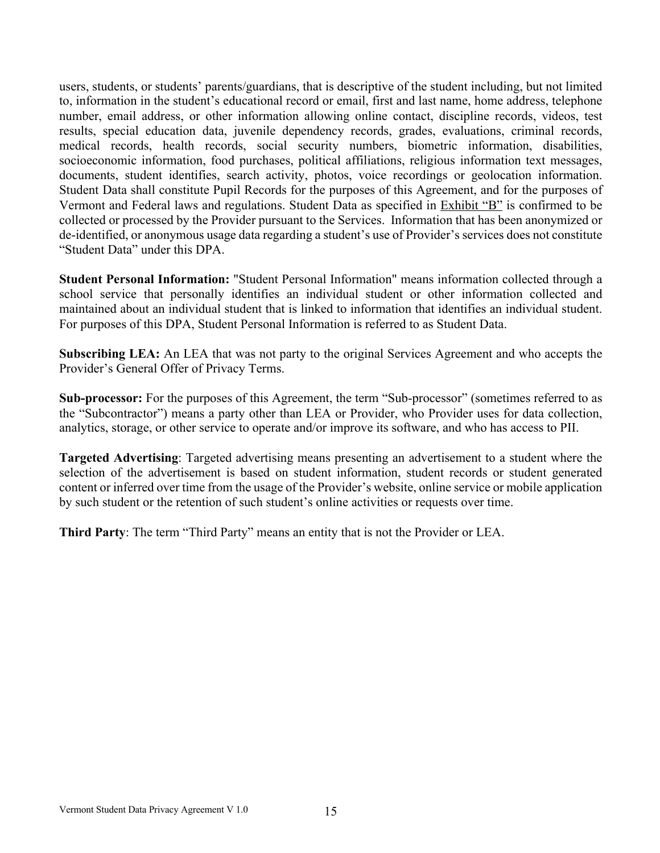users, students, or students' parents/guardians, that is descriptive of the student including, but not limited to, information in the student's educational record or email, first and last name, home address, telephone number, email address, or other information allowing online contact, discipline records, videos, test results, special education data, juvenile dependency records, grades, evaluations, criminal records, medical records, health records, social security numbers, biometric information, disabilities, socioeconomic information, food purchases, political affiliations, religious information text messages, documents, student identifies, search activity, photos, voice recordings or geolocation information. Student Data shall constitute Pupil Records for the purposes of this Agreement, and for the purposes of Vermont and Federal laws and regulations. Student Data as specified in Exhibit "B" is confirmed to be collected or processed by the Provider pursuant to the Services. Information that has been anonymized or de-identified, or anonymous usage data regarding a student's use of Provider's services does not constitute "Student Data" under this DPA.

**Student Personal Information:** "Student Personal Information" means information collected through a school service that personally identifies an individual student or other information collected and maintained about an individual student that is linked to information that identifies an individual student. For purposes of this DPA, Student Personal Information is referred to as Student Data.

**Subscribing LEA:** An LEA that was not party to the original Services Agreement and who accepts the Provider's General Offer of Privacy Terms.

**Sub-processor:** For the purposes of this Agreement, the term "Sub-processor" (sometimes referred to as the "Subcontractor") means a party other than LEA or Provider, who Provider uses for data collection, analytics, storage, or other service to operate and/or improve its software, and who has access to PII.

**Targeted Advertising**: Targeted advertising means presenting an advertisement to a student where the selection of the advertisement is based on student information, student records or student generated content or inferred over time from the usage of the Provider's website, online service or mobile application by such student or the retention of such student's online activities or requests over time.

**Third Party**: The term "Third Party" means an entity that is not the Provider or LEA.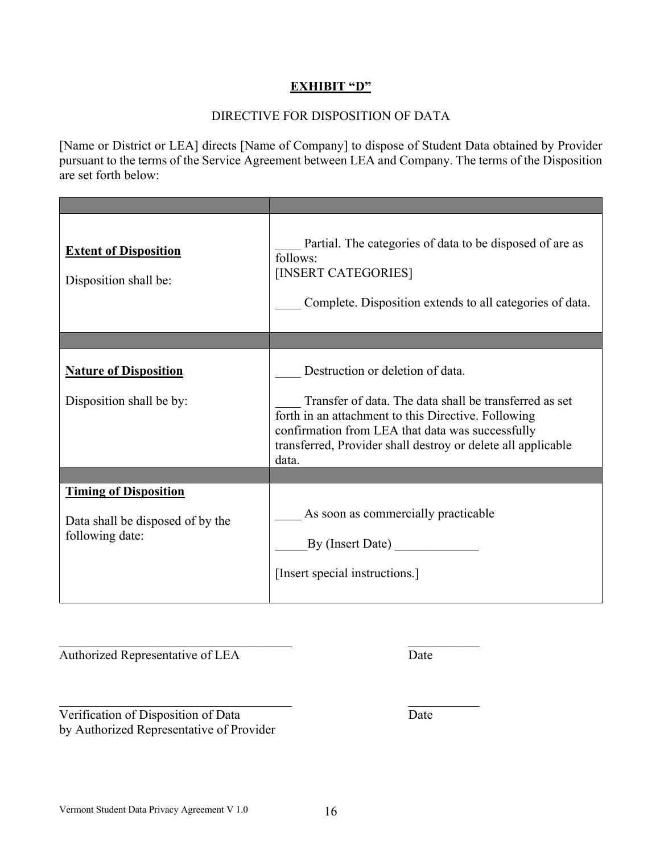## **EXHIBIT "D"**

## DIRECTIVE FOR DISPOSITION OF DATA

[Name or District or LEA] directs [Name of Company] to dispose of Student Data obtained by Provider pursuant to the terms of the Service Agreement between LEA and Company. The terms of the Disposition are set forth below:

| <b>Extent of Disposition</b><br>Disposition shall be:                               | Partial. The categories of data to be disposed of are as<br>follows:<br>[INSERT CATEGORIES]<br>Complete. Disposition extends to all categories of data.                                                                                    |
|-------------------------------------------------------------------------------------|--------------------------------------------------------------------------------------------------------------------------------------------------------------------------------------------------------------------------------------------|
|                                                                                     |                                                                                                                                                                                                                                            |
| <b>Nature of Disposition</b>                                                        | Destruction or deletion of data.                                                                                                                                                                                                           |
| Disposition shall be by:                                                            | Transfer of data. The data shall be transferred as set<br>forth in an attachment to this Directive. Following<br>confirmation from LEA that data was successfully<br>transferred, Provider shall destroy or delete all applicable<br>data. |
|                                                                                     |                                                                                                                                                                                                                                            |
| <b>Timing of Disposition</b><br>Data shall be disposed of by the<br>following date: | As soon as commercially practicable<br>By (Insert Date) $\frac{1}{\sqrt{1-\frac{1}{2}}\sqrt{1-\frac{1}{2}}\left(\frac{1}{2}-\frac{1}{2}\right)}$<br>[Insert special instructions.]                                                         |

Authorized Representative of LEA Date

Verification of Disposition of Data Date by Authorized Representative of Provider